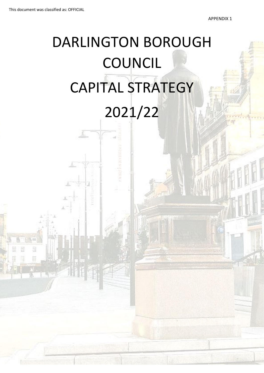# DARLINGTON BOROUGH **COUNCIL** CAPITAL STRATEGY 2021/22

I - I

. .

 $\mathbb{E}[\mathbf{1}_\mathbf{z}^{\mathbf{a}}]$ 

.1.. t I

' '

.. i

Ńш

盟

E

膃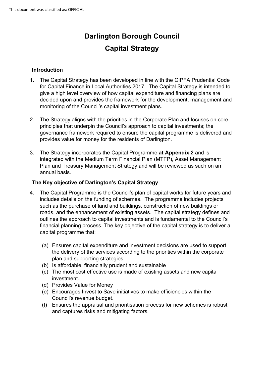# **Darlington Borough Council Capital Strategy**

# **Introduction**

- 1. The Capital Strategy has been developed in line with the CIPFA Prudential Code for Capital Finance in Local Authorities 2017. The Capital Strategy is intended to give a high level overview of how capital expenditure and financing plans are decided upon and provides the framework for the development, management and monitoring of the Council's capital investment plans.
- 2. The Strategy aligns with the priorities in the Corporate Plan and focuses on core principles that underpin the Council's approach to capital investments; the governance framework required to ensure the capital programme is delivered and provides value for money for the residents of Darlington.
- Plan and Treasury Management Strategy and will be reviewed as such on an 3. The Strategy incorporates the Capital Programme **at Appendix 2** and is integrated with the Medium Term Financial Plan (MTFP), Asset Management annual basis.

# **The Key objective of Darlington's Capital Strategy**

- includes details on the funding of schemes. The programme includes projects 4. The Capital Programme is the Council's plan of capital works for future years and such as the purchase of land and buildings, construction of new buildings or roads, and the enhancement of existing assets. The capital strategy defines and outlines the approach to capital investments and is fundamental to the Council's financial planning process. The key objective of the capital strategy is to deliver a capital programme that;
	- plan and supporting strategies. (a) Ensures capital expenditure and investment decisions are used to support the delivery of the services according to the priorities within the corporate
	- (b) Is affordable, financially prudent and sustainable
	- (c) The most cost effective use is made of existing assets and new capital investment.
	- (d) Provides Value for Money
	- (e) Encourages Invest to Save initiatives to make efficiencies within the Council's revenue budget.
	- (f) Ensures the appraisal and prioritisation process for new schemes is robust and captures risks and mitigating factors.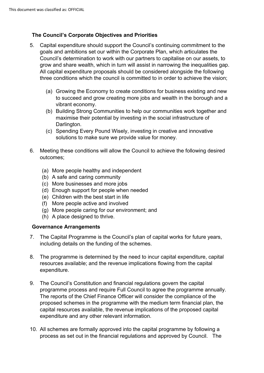# **The Council's Corporate Objectives and Priorities**

- 5. Capital expenditure should support the Council's continuing commitment to the goals and ambitions set our within the Corporate Plan, which articulates the Council's determination to work with our partners to capitalise on our assets, to grow and share wealth, which in turn will assist in narrowing the inequalities gap. All capital expenditure proposals should be considered alongside the following three conditions which the council is committed to in order to achieve the vision;
	- (a) Growing the Economy to create conditions for business existing and new to succeed and grow creating more jobs and wealth in the borough and a vibrant economy.
	- (b) Building Strong Communities to help our communities work together and maximise their potential by investing in the social infrastructure of Darlington.
	- (c) Spending Every Pound Wisely, investing in creative and innovative solutions to make sure we provide value for money.
- 6. Meeting these conditions will allow the Council to achieve the following desired outcomes;
	- (a) More people healthy and independent
	- (b) A safe and caring community
	- (c) More businesses and more jobs
	- (d) Enough support for people when needed
	- (e) Children with the best start in life
	- (f) More people active and involved
	- (g) More people caring for our environment; and
	- (h) A place designed to thrive.

#### **Governance Arrangements**

- 7. The Capital Programme is the Council's plan of capital works for future years, including details on the funding of the schemes.
- expenditure. 8. The programme is determined by the need to incur capital expenditure, capital resources available; and the revenue implications flowing from the capital
- programme process and require Full Council to agree the programme annually. 9. The Council's Constitution and financial regulations govern the capital The reports of the Chief Finance Officer will consider the compliance of the proposed schemes in the programme with the medium term financial plan, the capital resources available, the revenue implications of the proposed capital expenditure and any other relevant information.
- 10. All schemes are formally approved into the capital programme by following a process as set out in the financial regulations and approved by Council. The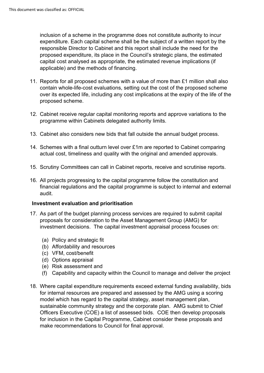inclusion of a scheme in the programme does not constitute authority to incur expenditure. Each capital scheme shall be the subject of a written report by the responsible Director to Cabinet and this report shall include the need for the proposed expenditure, its place in the Council's strategic plans, the estimated capital cost analysed as appropriate, the estimated revenue implications (if applicable) and the methods of financing.

- 11. Reports for all proposed schemes with a value of more than £1 million shall also contain whole-life-cost evaluations, setting out the cost of the proposed scheme over its expected life, including any cost implications at the expiry of the life of the proposed scheme.
- 12. Cabinet receive regular capital monitoring reports and approve variations to the programme within Cabinets delegated authority limits.
- 13. Cabinet also considers new bids that fall outside the annual budget process.
- 14. Schemes with a final outturn level over £1m are reported to Cabinet comparing actual cost, timeliness and quality with the original and amended approvals.
- 15. Scrutiny Committees can call in Cabinet reports, receive and scrutinise reports.
- 16. All projects progressing to the capital programme follow the constitution and financial regulations and the capital programme is subject to internal and external audit.

#### **Investment evaluation and prioritisation**

- investment decisions. The capital investment appraisal process focuses on: 17. As part of the budget planning process services are required to submit capital proposals for consideration to the Asset Management Group (AMG) for
	- (a) Policy and strategic fit
	- (b) Affordability and resources
	- (c) VFM, cost/benefit
	- (d) Options appraisal
	- (e) Risk assessment and
	- (f) Capability and capacity within the Council to manage and deliver the project
- 18. Where capital expenditure requirements exceed external funding availability, bids for internal resources are prepared and assessed by the AMG using a scoring model which has regard to the capital strategy, asset management plan, sustainable community strategy and the corporate plan. AMG submit to Chief Officers Executive (COE) a list of assessed bids. COE then develop proposals for inclusion in the Capital Programme, Cabinet consider these proposals and make recommendations to Council for final approval.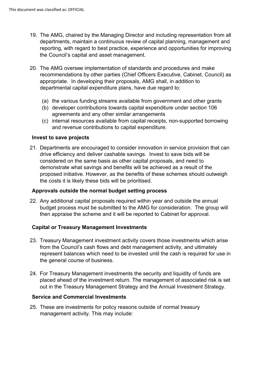- departments, maintain a continuous review of capital planning, management and 19. The AMG, chaired by the Managing Director and including representation from all reporting, with regard to best practice, experience and opportunities for improving the Council's capital and asset management.
- appropriate. In developing their proposals, AMG shall, in addition to 20. The AMG oversee implementation of standards and procedures and make recommendations by other parties (Chief Officers Executive, Cabinet, Council) as departmental capital expenditure plans, have due regard to:
	- (a) the various funding streams available from government and other grants
	- (b) developer contributions towards capital expenditure under section 106 agreements and any other similar arrangements
	- (c) internal resources available from capital receipts, non-supported borrowing and revenue contributions to capital expenditure.

#### **Invest to save projects**

21. Departments are encouraged to consider innovation in service provision that can drive efficiency and deliver cashable savings. Invest to save bids will be considered on the same basis as other capital proposals, and need to demonstrate what savings and benefits will be achieved as a result of the proposed initiative. However, as the benefits of these schemes should outweigh the costs it is likely these bids will be prioritised.

#### **Approvals outside the normal budget setting process**

22. Any additional capital proposals required within year and outside the annual budget process must be submitted to the AMG for consideration. The group will then appraise the scheme and it will be reported to Cabinet for approval.

#### **Capital or Treasury Management Investments**

- the general course of business. 23. Treasury Management investment activity covers those investments which arise from the Council's cash flows and debt management activity, and ultimately represent balances which need to be invested until the cash is required for use in
- placed ahead of the investment return. The management of associated risk is set 24. For Treasury Management investments the security and liquidity of funds are out in the Treasury Management Strategy and the Annual Investment Strategy.

#### **Service and Commercial Investments**

25. These are investments for policy reasons outside of normal treasury management activity. This may include: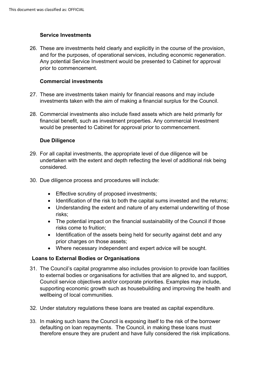# **Service Investments**

and for the purposes, of operational services, including economic regeneration. 26. These are investments held clearly and explicitly in the course of the provision, Any potential Service Investment would be presented to Cabinet for approval prior to commencement.

#### **Commercial investments**

- 27. These are investments taken mainly for financial reasons and may include investments taken with the aim of making a financial surplus for the Council.
- 28. Commercial investments also include fixed assets which are held primarily for financial benefit, such as investment properties. Any commercial Investment would be presented to Cabinet for approval prior to commencement.

#### **Due Diligence**

- 29. For all capital investments, the appropriate level of due diligence will be undertaken with the extent and depth reflecting the level of additional risk being considered.
- 30. Due diligence process and procedures will include:
	- Effective scrutiny of proposed investments;
	- Identification of the risk to both the capital sums invested and the returns;
	- Understanding the extent and nature of any external underwriting of those risks;
	- The potential impact on the financial sustainability of the Council if those risks come to fruition;
	- Identification of the assets being held for security against debt and any prior charges on those assets;
	- Where necessary independent and expert advice will be sought.

# **Loans to External Bodies or Organisations**

- 31. The Council's capital programme also includes provision to provide loan facilities to external bodies or organisations for activities that are aligned to, and support, Council service objectives and/or corporate priorities. Examples may include, supporting economic growth such as housebuilding and improving the health and wellbeing of local communities.
- 32. Under statutory regulations these loans are treated as capital expenditure.
- defaulting on loan repayments. The Council, in making these loans must 33. In making such loans the Council is exposing itself to the risk of the borrower therefore ensure they are prudent and have fully considered the risk implications.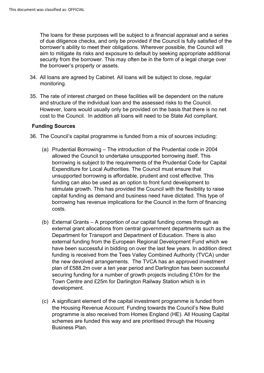The loans for these purposes will be subject to a financial appraisal and a series the borrower's property or assets. of due diligence checks, and only be provided if the Council is fully satisfied of the borrower's ability to meet their obligations. Wherever possible, the Council will aim to mitigate its risks and exposure to default by seeking appropriate additional security from the borrower. This may often be in the form of a legal charge over

- 34. All loans are agreed by Cabinet. All loans will be subject to close, regular monitoring.
- cost to the Council. In addition all loans will need to be State Aid compliant. 35. The rate of interest charged on these facilities will be dependent on the nature and structure of the individual loan and the assessed risks to the Council. However, loans would usually only be provided on the basis that there is no net

#### **Funding Sources**

- 36. The Council's capital programme is funded from a mix of sources including:
	- costs. (a) Prudential Borrowing – The introduction of the Prudential code in 2004 allowed the Council to undertake unsupported borrowing itself. This borrowing is subject to the requirements of the Prudential Code for Capital Expenditure for Local Authorities. The Council must ensure that unsupported borrowing is affordable, prudent and cost effective. This funding can also be used as an option to front fund development to stimulate growth. This has provided the Council with the flexibility to raise capital funding as demand and business need have dictated. This type of borrowing has revenue implications for the Council in the form of financing
	- plan of £588.2m over a ten year period and Darlington has been successful (b) External Grants – A proportion of our capital funding comes through as external grant allocations from central government departments such as the Department for Transport and Department of Education. There is also external funding from the European Regional Development Fund which we have been successful in bidding on over the last few years. In addition direct funding is received from the Tees Valley Combined Authority (TVCA) under the new devolved arrangements. The TVCA has an approved investment securing funding for a number of growth projects including £10m for the Town Centre and £25m for Darlington Railway Station which is in development.
	- (c) A significant element of the capital investment programme is funded from the Housing Revenue Account. Funding towards the Council's New Build programme is also received from Homes England (HE). All Housing Capital schemes are funded this way and are prioritised through the Housing Business Plan.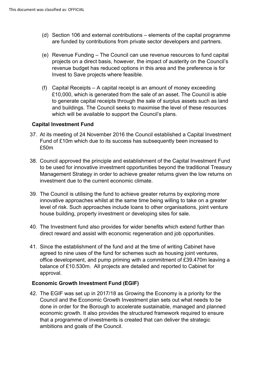- (d) Section 106 and external contributions elements of the capital programme are funded by contributions from private sector developers and partners.
- (e) Revenue Funding The Council can use revenue resources to fund capital projects on a direct basis, however, the impact of austerity on the Council's revenue budget has reduced options in this area and the preference is for Invest to Save projects where feasible.
- (f) Capital Receipts A capital receipt is an amount of money exceeding £10,000, which is generated from the sale of an asset. The Council is able to generate capital receipts through the sale of surplus assets such as land and buildings. The Council seeks to maximise the level of these resources which will be available to support the Council's plans.

#### **Capital Investment Fund**

- 37. At its meeting of 24 November 2016 the Council established a Capital Investment Fund of £10m which due to its success has subsequently been increased to £50m
- 38. Council approved the principle and establishment of the Capital Investment Fund to be used for innovative investment opportunities beyond the traditional Treasury Management Strategy in order to achieve greater returns given the low returns on investment due to the current economic climate.
- 39. The Council is utilising the fund to achieve greater returns by exploring more innovative approaches whilst at the same time being willing to take on a greater level of risk. Such approaches include loans to other organisations, joint venture house building, property investment or developing sites for sale.
- 40. The Investment fund also provides for wider benefits which extend further than direct reward and assist with economic regeneration and job opportunities.
- 41. Since the establishment of the fund and at the time of writing Cabinet have agreed to nine uses of the fund for schemes such as housing joint ventures, office development, and pump priming with a commitment of £39.470m leaving a balance of £10.530m. All projects are detailed and reported to Cabinet for approval.

# **Economic Growth Investment Fund (EGIF)**

 42. The EGIF was set up in 2017/18 as Growing the Economy is a priority for the Council and the Economic Growth Investment plan sets out what needs to be done in order for the Borough to accelerate sustainable, managed and planned economic growth. It also provides the structured framework required to ensure that a programme of investments is created that can deliver the strategic ambitions and goals of the Council.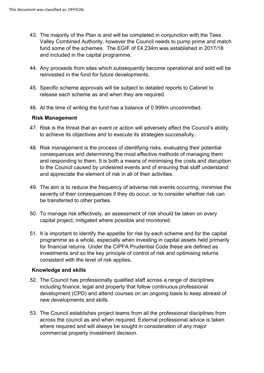- 43. The majority of the Plan is and will be completed in conjunction with the Tees Valley Combined Authority, however the Council needs to pump prime and match fund some of the schemes. The EGIF of £4.234m was established in 2017/18 and included in the capital programme.
- 44. Any proceeds from sites which subsequently become operational and sold will be reinvested in the fund for future developments.
- 45. Specific scheme approvals will be subject to detailed reports to Cabinet to release each scheme as and when they are required.
- 46. At the time of writing the fund has a balance of 0.999m uncommitted.

#### **Risk Management**

- 47. Risk is the threat that an event or action will adversely affect the Council's ability to achieve its objectives and to execute its strategies successfully.
- 48. Risk management is the process of identifying risks, evaluating their potential consequences and determining the most effective methods of managing them and responding to them. It is both a means of minimising the costs and disruption to the Council caused by undesired events and of ensuring that staff understand and appreciate the element of risk in all of their activities.
- 49. The aim is to reduce the frequency of adverse risk events occurring, minimise the severity of their consequences if they do occur, or to consider whether risk can be transferred to other parties.
- 50. To manage risk effectively, an assessment of risk should be taken on every capital project, mitigated where possible and monitored.
- 51. It is important to identify the appetite for risk by each scheme and for the capital programme as a whole, especially when investing in capital assets held primarily for financial returns. Under the CIPFA Prudential Code these are defined as investments and so the key principle of control of risk and optimising returns consistent with the level of risk applies**.**

#### **Knowledge and skills**

- 52. The Council has professionally qualified staff across a range of disciplines including finance, legal and property that follow continuous professional development (CPD) and attend courses on an ongoing basis to keep abreast of new developments and skills.
- 53. The Council establishes project teams from all the professional disciplines from across the council as and when required. External professional advice is taken where required and will always be sought in consideration of any major commercial property investment decision.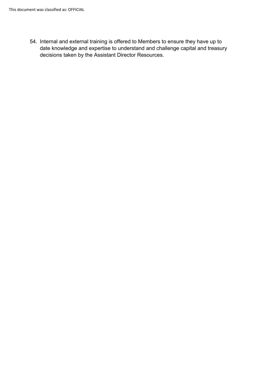54. Internal and external training is offered to Members to ensure they have up to date knowledge and expertise to understand and challenge capital and treasury decisions taken by the Assistant Director Resources.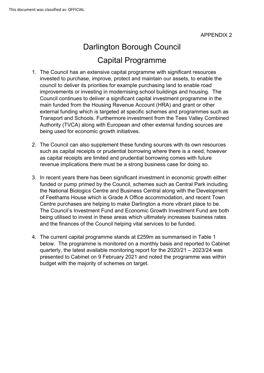# Darlington Borough Council Capital Programme

- 1. The Council has an extensive capital programme with significant resources invested to purchase, improve, protect and maintain our assets, to enable the council to deliver its priorities for example purchasing land to enable road improvements or investing in modernising school buildings and housing. The Council continues to deliver a significant capital investment programme in the main funded from the Housing Revenue Account (HRA) and grant or other external funding which is targeted at specific schemes and programmes such as Transport and Schools. Furthermore investment from the Tees Valley Combined Authority (TVCA) along with European and other external funding sources are being used for economic growth initiatives.
- revenue implications there must be a strong business case for doing so. 2. The Council can also supplement these funding sources with its own resources such as capital receipts or prudential borrowing where there is a need, however as capital receipts are limited and prudential borrowing comes with future
- Centre purchases are helping to make Darlington a more vibrant place to be. and the finances of the Council helping vital services to be funded. 3. In recent vears there has been significant investment in economic growth either funded or pump primed by the Council, schemes such as Central Park including the National Biologics Centre and Business Central along with the Development of Feethams House which is Grade A Office accommodation, and recent Town The Council's Investment Fund and Economic Growth Investment Fund are both being utilised to invest in these areas which ultimately increases business rates
- and the finances of the Council helping vital services to be funded. 4. The current capital programme stands at £259m as summarised in Table 1 below. The programme is monitored on a monthly basis and reported to Cabinet quarterly, the latest available monitoring report for the 2020/21 – 2023/24 was presented to Cabinet on 9 February 2021 and noted the programme was within budget with the majority of schemes on target.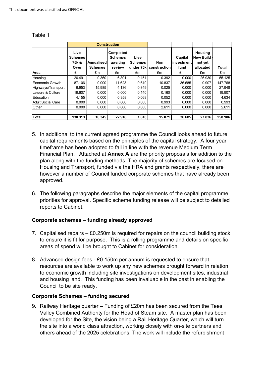|                    | <b>Construction</b>                     |                              |                                                          |                                     |                     |                               |                                                            |         |
|--------------------|-----------------------------------------|------------------------------|----------------------------------------------------------|-------------------------------------|---------------------|-------------------------------|------------------------------------------------------------|---------|
|                    | Live<br><b>Schemes</b><br>75k &<br>Over | Annualised<br><b>Schemes</b> | <b>Completed</b><br><b>Schemes</b><br>awaiting<br>review | Live<br><b>Schemes</b><br>under 75k | Non<br>construction | Capital<br>investment<br>fund | <b>Housing</b><br><b>New Build</b><br>not yet<br>allocated | Total   |
| Area               | £m                                      | £m                           | £m                                                       | £m                                  | £m                  | £m                            | £m                                                         | £m      |
| Housing            | 20.491                                  | 0.360                        | 6.801                                                    | 0.151                               | 0.392               | 0.000                         | 26.930                                                     | 55.125  |
| Economic Growth    | 87.106                                  | 0.000                        | 11.623                                                   | 0.610                               | 10.837              | 36.685                        | 0.907                                                      | 147.768 |
| Highways/Transport | 6.953                                   | 15.985                       | 4.136                                                    | 0.849                               | 0.025               | 0.000                         | 0.000                                                      | 27.948  |
| Leisure & Culture  | 19.607                                  | 0.000                        | 0.000                                                    | 0.140                               | 0.160               | 0.000                         | 0.000                                                      | 19.907  |
| Education          | 4.155                                   | 0.000                        | 0.358                                                    | 0.068                               | 0.052               | 0.000                         | 0.000                                                      | 4.634   |
| Adult Social Care  | 0.000                                   | 0.000                        | 0.000                                                    | 0.000                               | 0.993               | 0.000                         | 0.000                                                      | 0.993   |
| Other              | 0.000                                   | 0.000                        | 0.000                                                    | 0.000                               | 2.611               | 0.000                         | 0.000                                                      | 2.611   |
| <b>Total</b>       | 138.313                                 | 16.345                       | 22.918                                                   | 1.818                               | 15.071              | 36.685                        | 27.836                                                     | 258.986 |

#### Table 1

- capital requirements based on the principles of the capital strategy. A four year 5. In additional to the current agreed programme the Council looks ahead to future timeframe has been adopted to fall in line with the revenue Medium Term Financial Plan. Attached at **Annex A** are the priority proposals for addition to the plan along with the funding methods. The majority of schemes are focused on Housing and Transport, funded via the HRA and grants respectively, there are however a number of Council funded corporate schemes that have already been approved.
- 6. The following paragraphs describe the major elements of the capital programme priorities for approval. Specific scheme funding release will be subject to detailed reports to Cabinet.

# **Corporate schemes – funding already approved**

- 7. Capitalised repairs £0.250m is required for repairs on the council building stock to ensure it is fit for purpose. This is a rolling programme and details on specific areas of spend will be brought to Cabinet for consideration.
- 8. Advanced design fees £0.150m per annum is requested to ensure that resources are available to work up any new schemes brought forward in relation to economic growth including site investigations on development sites, industrial and housing land. This funding has been invaluable in the past in enabling the Council to be site ready.

# **Corporate Schemes – funding secured**

9. Railway Heritage quarter – Funding of £20m has been secured from the Tees Valley Combined Authority for the Head of Steam site. A master plan has been developed for the Site, the vision being a Rail Heritage Quarter, which will turn the site into a world class attraction, working closely with on-site partners and others ahead of the 2025 celebrations. The work will include the refurbishment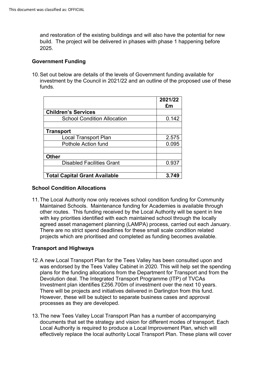2025. and restoration of the existing buildings and will also have the potential for new build. The project will be delivered in phases with phase 1 happening before

#### **Government Funding**

 funds. 10.Set out below are details of the levels of Government funding available for investment by the Council in 2021/22 and an outline of the proposed use of these

|                                      | 2021/22<br>£m |
|--------------------------------------|---------------|
| <b>Children's Services</b>           |               |
| <b>School Condition Allocation</b>   | 0.142         |
|                                      |               |
| <b>Transport</b>                     |               |
| Local Transport Plan                 | 2.575         |
| Pothole Action fund                  | 0.095         |
|                                      |               |
| <b>Other</b>                         |               |
| <b>Disabled Facilities Grant</b>     | 0.937         |
|                                      |               |
| <b>Total Capital Grant Available</b> | 3.749         |

#### **School Condition Allocations**

agreed asset management planning (LAMPA) process, carried out each January. 11.The Local Authority now only receives school condition funding for Community Maintained Schools. Maintenance funding for Academies is available through other routes. This funding received by the Local Authority will be spent in line with key priorities identified with each maintained school through the locally There are no strict spend deadlines for these small scale condition related projects which are prioritised and completed as funding becomes available.

# **Transport and Highways**

- Investment plan identifies £256.700m of investment over the next 10 years. 12.A new Local Transport Plan for the Tees Valley has been consulted upon and was endorsed by the Tees Valley Cabinet in 2020. This will help set the spending plans for the funding allocations from the Department for Transport and from the Devolution deal. The Integrated Transport Programme (ITP) of TVCAs There will be projects and initiatives delivered in Darlington from this fund. However, these will be subject to separate business cases and approval processes as they are developed.
- 13.The new Tees Valley Local Transport Plan has a number of accompanying documents that set the strategy and vision for different modes of transport. Each Local Authority is required to produce a Local Improvement Plan, which will effectively replace the local authority Local Transport Plan. These plans will cover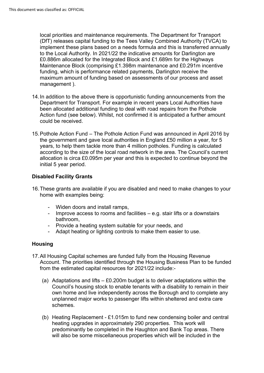local priorities and maintenance requirements. The Department for Transport (DfT) releases capital funding to the Tees Valley Combined Authority (TVCA) to implement these plans based on a needs formula and this is transferred annually to the Local Authority. In 2021/22 the indicative amounts for Darlington are £0.886m allocated for the Integrated Block and £1.689m for the Highways Maintenance Block (comprising £1.398m maintenance and £0.291m incentive funding, which is performance related payments, Darlington receive the maximum amount of funding based on assessments of our process and asset management ).

- 14.In addition to the above there is opportunistic funding announcements from the Department for Transport. For example in recent years Local Authorities have been allocated additional funding to deal with road repairs from the Pothole Action fund (see below). Whilst, not confirmed it is anticipated a further amount could be received.
- the government and gave local authorities in England £50 million a year, for 5 15.Pothole Action Fund – The Pothole Action Fund was announced in April 2016 by years, to help them tackle more than 4 million potholes. Funding is calculated according to the size of the local road network in the area. The Council's current allocation is circa £0.095m per year and this is expected to continue beyond the initial 5 year period.

# **Disabled Facility Grants**

- 16.These grants are available if you are disabled and need to make changes to your home with examples being:
	- Widen doors and install ramps,
	- - Improve access to rooms and facilities e.g. stair lifts or a downstairs bathroom,
	- Provide a heating system suitable for your needs, and
	- Adapt heating or lighting controls to make them easier to use.

# **Housing**

- 17.All Housing Capital schemes are funded fully from the Housing Revenue from the estimated capital resources for 2021/22 include:- Account. The priorities identified through the Housing Business Plan to be funded
	- (a) Adaptations and lifts £0.200m budget is to deliver adaptations within the Council's housing stock to enable tenants with a disability to remain in their own home and live independently across the Borough and to complete any unplanned major works to passenger lifts within sheltered and extra care schemes.
	- (b) Heating Replacement £1.015m to fund new condensing boiler and central heating upgrades in approximately 290 properties. This work will predominantly be completed in the Haughton and Bank Top areas. There will also be some miscellaneous properties which will be included in the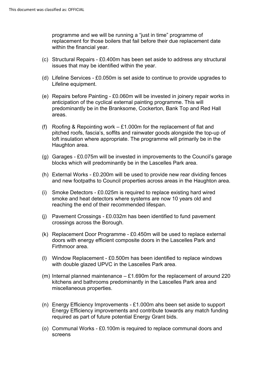programme and we will be running a "just in time" programme of replacement for those boilers that fail before their due replacement date within the financial year.

- (c) Structural Repairs £0.400m has been set aside to address any structural issues that may be identified within the year.
- Lifeline equipment. (d) Lifeline Services - £0.050m is set aside to continue to provide upgrades to
- (e) Repairs before Painting £0.060m will be invested in joinery repair works in anticipation of the cyclical external painting programme. This will predominantly be in the Branksome, Cockerton, Bank Top and Red Hall areas.
- (f) Roofing & Repointing work £1.000m for the replacement of flat and Haughton area. pitched roofs, fascia's, soffits and rainwater goods alongside the top-up of loft insulation where appropriate. The programme will primarily be in the
- (g) Garages £0.075m will be invested in improvements to the Council's garage blocks which will predominantly be in the Lascelles Park area.
- (h) External Works £0.200m will be used to provide new rear dividing fences and new footpaths to Council properties across areas in the Haughton area.
- reaching the end of their recommended lifespan. (i) Smoke Detectors - £0.025m is required to replace existing hard wired smoke and heat detectors where systems are now 10 years old and
- $(i)$  Pavement Crossings £0.032m has been identified to fund pavement crossings across the Borough.
- Firthmoor area. (k) Replacement Door Programme - £0.450m will be used to replace external doors with energy efficient composite doors in the Lascelles Park and
- (l) Window Replacement £0.500m has been identified to replace windows with double glazed UPVC in the Lascelles Park area.
- kitchens and bathrooms predominantly in the Lascelles Park area and (m) Internal planned maintenance  $-$  £1.690m for the replacement of around 220 miscellaneous properties.
- (n) Energy Efficiency Improvements £1.000m ahs been set aside to support Energy Efficiency improvements and contribute towards any match funding required as part of future potential Energy Grant bids.
- (o) Communal Works £0.100m is required to replace communal doors and screens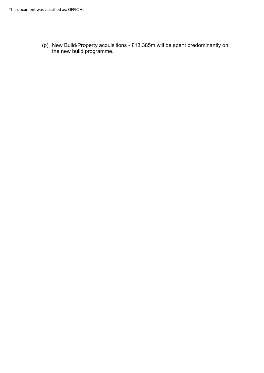(p) New Build/Property acquisitions - £13.385m will be spent predominantly on the new build programme.